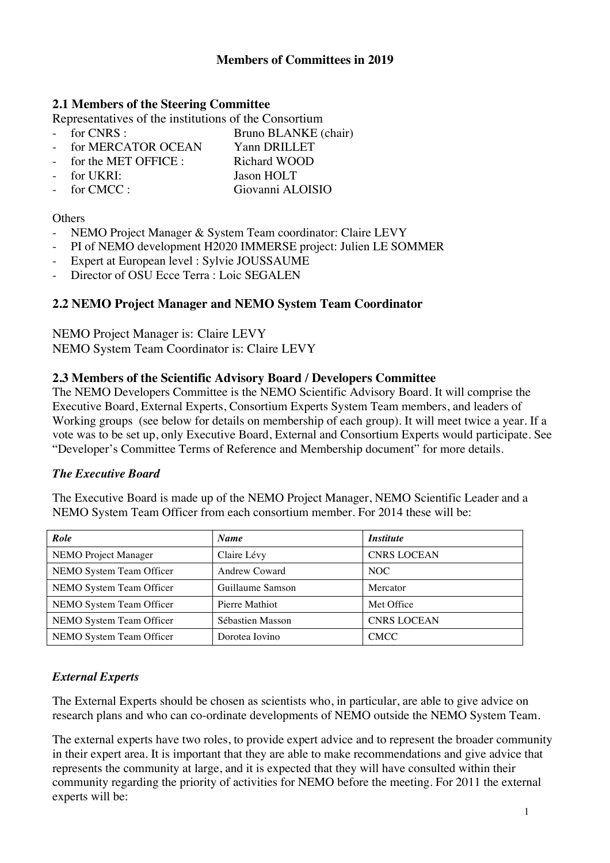## **2.1 Members of the Steering Committee**

Representatives of the institutions of the Consortium

- for CNRS : Bruno BLANKE (chair)
- for MERCATOR OCEAN Yann DRILLET
- for the MET OFFICE : Richard WOOD
- for UKRI: Jason HOLT
- for CMCC : Giovanni ALOISIO

#### **Others**

- NEMO Project Manager & System Team coordinator: Claire LEVY
- PI of NEMO development H2020 IMMERSE project: Julien LE SOMMER
- Expert at European level : Sylvie JOUSSAUME
- Director of OSU Ecce Terra : Loic SEGALEN

# **2.2 NEMO Project Manager and NEMO System Team Coordinator**

NEMO Project Manager is: Claire LEVY NEMO System Team Coordinator is: Claire LEVY

### **2.3 Members of the Scientific Advisory Board / Developers Committee**

The NEMO Developers Committee is the NEMO Scientific Advisory Board. It will comprise the Executive Board, External Experts, Consortium Experts System Team members, and leaders of Working groups (see below for details on membership of each group). It will meet twice a year. If a vote was to be set up, only Executive Board, External and Consortium Experts would participate. See "Developer's Committee Terms of Reference and Membership document" for more details.

#### *The Executive Board*

The Executive Board is made up of the NEMO Project Manager, NEMO Scientific Leader and a NEMO System Team Officer from each consortium member. For 2014 these will be:

| Role                        | <b>Name</b>          | <i>Institute</i>   |
|-----------------------------|----------------------|--------------------|
| <b>NEMO</b> Project Manager | Claire Lévy          | <b>CNRS LOCEAN</b> |
| NEMO System Team Officer    | <b>Andrew Coward</b> | NOC                |
| NEMO System Team Officer    | Guillaume Samson     | Mercator           |
| NEMO System Team Officer    | Pierre Mathiot       | Met Office         |
| NEMO System Team Officer    | Sébastien Masson     | <b>CNRS LOCEAN</b> |
| NEMO System Team Officer    | Dorotea Iovino       | <b>CMCC</b>        |

# *External Experts*

The External Experts should be chosen as scientists who, in particular, are able to give advice on research plans and who can co-ordinate developments of NEMO outside the NEMO System Team.

The external experts have two roles, to provide expert advice and to represent the broader community in their expert area. It is important that they are able to make recommendations and give advice that represents the community at large, and it is expected that they will have consulted within their community regarding the priority of activities for NEMO before the meeting. For 2011 the external experts will be: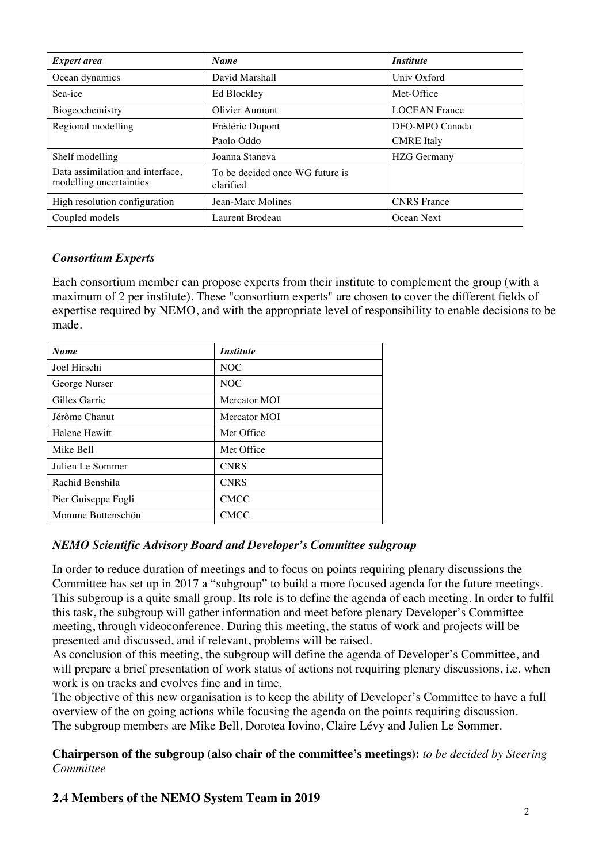| <b>Expert area</b>                                          | <b>Name</b>                                  | <i><b>Institute</b></i> |
|-------------------------------------------------------------|----------------------------------------------|-------------------------|
| Ocean dynamics                                              | David Marshall                               | Univ Oxford             |
| Sea-ice                                                     | Ed Blockley                                  | Met-Office              |
| Biogeochemistry                                             | Olivier Aumont                               | <b>LOCEAN France</b>    |
| Regional modelling                                          | Frédéric Dupont                              | DFO-MPO Canada          |
|                                                             | Paolo Oddo                                   | <b>CMRE</b> Italy       |
| Shelf modelling                                             | Joanna Staneva                               | <b>HZG</b> Germany      |
| Data assimilation and interface,<br>modelling uncertainties | To be decided once WG future is<br>clarified |                         |
| High resolution configuration                               | Jean-Marc Molines                            | <b>CNRS</b> France      |
| Coupled models                                              | Laurent Brodeau                              | Ocean Next              |

### *Consortium Experts*

Each consortium member can propose experts from their institute to complement the group (with a maximum of 2 per institute). These "consortium experts" are chosen to cover the different fields of expertise required by NEMO, and with the appropriate level of responsibility to enable decisions to be made.

| <b>Name</b>          | <i><b>Institute</b></i> |
|----------------------|-------------------------|
| Joel Hirschi         | NOC                     |
| George Nurser        | NOC                     |
| Gilles Garric        | Mercator MOI            |
| Jérôme Chanut        | Mercator MOI            |
| <b>Helene Hewitt</b> | Met Office              |
| Mike Bell            | Met Office              |
| Julien Le Sommer     | <b>CNRS</b>             |
| Rachid Benshila      | <b>CNRS</b>             |
| Pier Guiseppe Fogli  | <b>CMCC</b>             |
| Momme Buttenschön    | <b>CMCC</b>             |

#### *NEMO Scientific Advisory Board and Developer's Committee subgroup*

In order to reduce duration of meetings and to focus on points requiring plenary discussions the Committee has set up in 2017 a "subgroup" to build a more focused agenda for the future meetings. This subgroup is a quite small group. Its role is to define the agenda of each meeting. In order to fulfil this task, the subgroup will gather information and meet before plenary Developer's Committee meeting, through videoconference. During this meeting, the status of work and projects will be presented and discussed, and if relevant, problems will be raised.

As conclusion of this meeting, the subgroup will define the agenda of Developer's Committee, and will prepare a brief presentation of work status of actions not requiring plenary discussions, *i.e.* when work is on tracks and evolves fine and in time.

The objective of this new organisation is to keep the ability of Developer's Committee to have a full overview of the on going actions while focusing the agenda on the points requiring discussion. The subgroup members are Mike Bell, Dorotea Iovino, Claire Lévy and Julien Le Sommer.

### **Chairperson of the subgroup (also chair of the committee's meetings):** *to be decided by Steering Committee*

# **2.4 Members of the NEMO System Team in 2019**